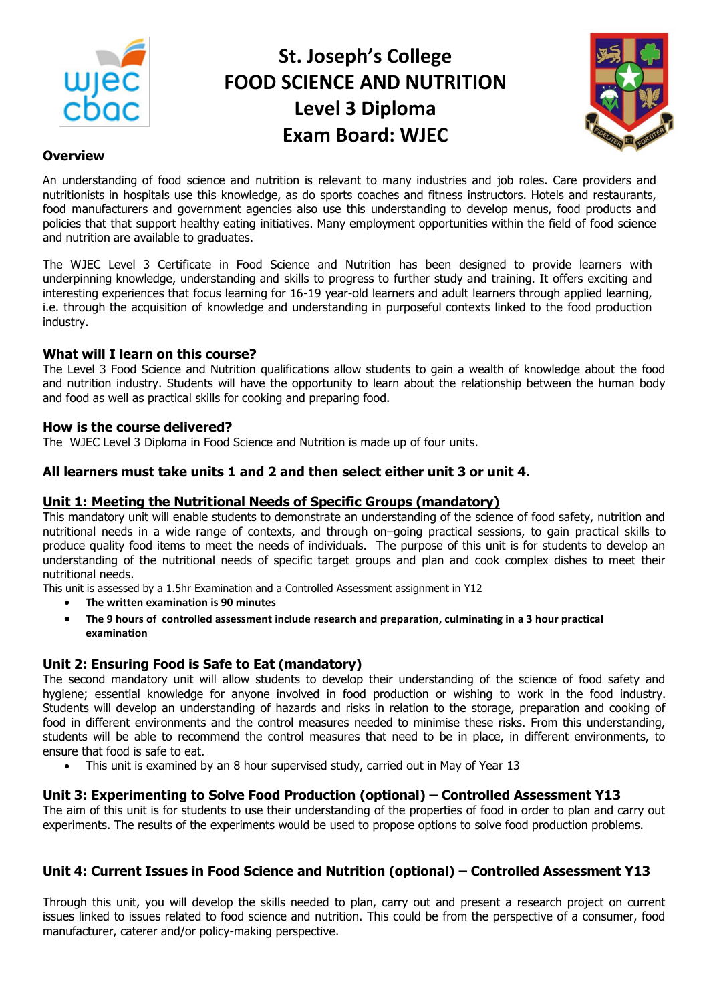

# **St. Joseph's College FOOD SCIENCE AND NUTRITION Level 3 Diploma Exam Board: WJEC**



## **Overview**

An understanding of food science and nutrition is relevant to many industries and job roles. Care providers and nutritionists in hospitals use this knowledge, as do sports coaches and fitness instructors. Hotels and restaurants, food manufacturers and government agencies also use this understanding to develop menus, food products and policies that that support healthy eating initiatives. Many employment opportunities within the field of food science and nutrition are available to graduates.

The WJEC Level 3 Certificate in Food Science and Nutrition has been designed to provide learners with underpinning knowledge, understanding and skills to progress to further study and training. It offers exciting and interesting experiences that focus learning for 16-19 year-old learners and adult learners through applied learning, i.e. through the acquisition of knowledge and understanding in purposeful contexts linked to the food production industry.

# **What will I learn on this course?**

The Level 3 Food Science and Nutrition qualifications allow students to gain a wealth of knowledge about the food and nutrition industry. Students will have the opportunity to learn about the relationship between the human body and food as well as practical skills for cooking and preparing food.

# **How is the course delivered?**

The WJEC Level 3 Diploma in Food Science and Nutrition is made up of four units.

# **All learners must take units 1 and 2 and then select either unit 3 or unit 4.**

## **Unit 1: Meeting the Nutritional Needs of Specific Groups (mandatory)**

This mandatory unit will enable students to demonstrate an understanding of the science of food safety, nutrition and nutritional needs in a wide range of contexts, and through on–going practical sessions, to gain practical skills to produce quality food items to meet the needs of individuals. The purpose of this unit is for students to develop an understanding of the nutritional needs of specific target groups and plan and cook complex dishes to meet their nutritional needs.

This unit is assessed by a 1.5hr Examination and a Controlled Assessment assignment in Y12

- **The written examination is 90 minutes**
- **The 9 hours of controlled assessment include research and preparation, culminating in a 3 hour practical examination**

# **Unit 2: Ensuring Food is Safe to Eat (mandatory)**

The second mandatory unit will allow students to develop their understanding of the science of food safety and hygiene; essential knowledge for anyone involved in food production or wishing to work in the food industry. Students will develop an understanding of hazards and risks in relation to the storage, preparation and cooking of food in different environments and the control measures needed to minimise these risks. From this understanding, students will be able to recommend the control measures that need to be in place, in different environments, to ensure that food is safe to eat.

This unit is examined by an 8 hour supervised study, carried out in May of Year 13

## **Unit 3: Experimenting to Solve Food Production (optional) – Controlled Assessment Y13**

The aim of this unit is for students to use their understanding of the properties of food in order to plan and carry out experiments. The results of the experiments would be used to propose options to solve food production problems.

# **Unit 4: Current Issues in Food Science and Nutrition (optional) – Controlled Assessment Y13**

Through this unit, you will develop the skills needed to plan, carry out and present a research project on current issues linked to issues related to food science and nutrition. This could be from the perspective of a consumer, food manufacturer, caterer and/or policy-making perspective.